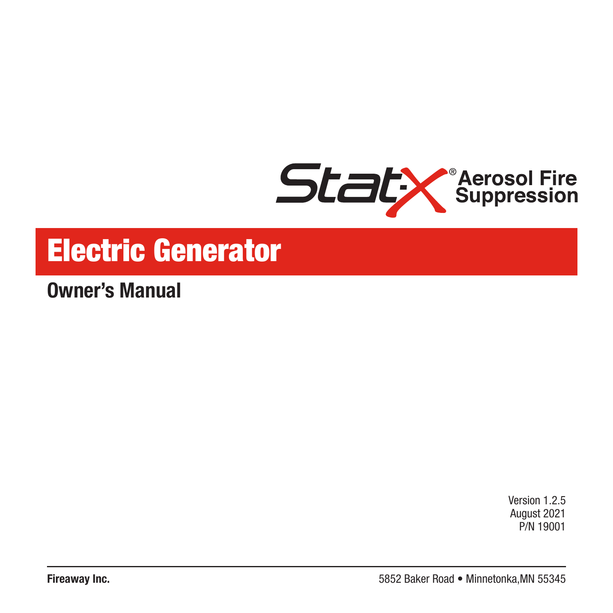

# Electric Generator

**Owner's Manual**

Version 1.2.5 August 2021 P/N 19001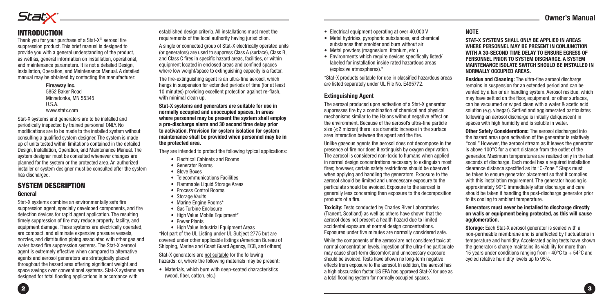

## INTRODUCTION

Thank you for your purchase of a Stat-X® aerosol fire suppression product. This brief manual is designed to provide you with a general understanding of the product, as well as, general information on installation, operational, and maintenance parameters. It is not a detailed Design, Installation, Operation, and Maintenance Manual. A detailed manual may be obtained by contacting the manufacturer:

> **Fireaway Inc.** 5852 Baker Road Minnetonka, MN 55345 U.S.A. www.statx.com

Stat-X systems and generators are to be installed and periodically inspected by trained personnel ONLY. No modifications are to be made to the installed system without consulting a qualified system designer. The system is made up of units tested within limitations contained in the detailed Design, Installation, Operation, and Maintenance Manual. The system designer must be consulted whenever changes are planned for the system or the protected area. An authorized installer or system designer must be consulted after the system has discharged.

## SYSTEM DESCRIPTION

#### **General**

Stat-X systems combine an environmentally safe fire suppression agent, specially developed components, and fire detection devices for rapid agent application. The resulting timely suppression of fire may reduce property, facility, and equipment damage. These systems are electrically operated, are compact, and eliminate expensive pressure vessels, nozzles, and distribution piping associated with other gas and water based fire suppression systems. The Stat-X aerosol agent is extremely effective when compared to alternative agents and aerosol generators are strategically placed throughout the hazard area offering significant weight and space savings over conventional systems. Stat-X systems are designed for total flooding applications in accordance with

established design criteria. All installations must meet the requirements of the local authority having jurisdiction.

A single or connected group of Stat-X electrically operated units (or generators) are used to suppress Class A (surface), Class B, and Class C fires in specific hazard areas, facilities, or within equipment located in enclosed areas and confined spaces where low weight/space to extinguishing capacity is a factor.

The fire-extinguishing agent is an ultra-fine aerosol, which hangs in suspension for extended periods of time (for at least 10 minutes) providing excellent protection against re-flash, with minimal clean up.

**Stat-X systems and generators are suitable for use in normally occupied and unoccupied spaces. In areas where personnel may be present the system shall employ a pre-discharge alarm and 30 second time delay prior to activation. Provision for system isolation for system maintenance shall be provided when personnel may be in the protected area.**

They are intended to protect the following typical applications:

- Electrical Cabinets and Rooms
- Generator Rooms
- Glove Boxes
- Telecommunications Facilities
- Flammable Liquid Storage Areas
- Process Control Rooms
- Storage Vaults
- Marine Engine Rooms\*
- Gas Turbine Enclosure
- High Value Mobile Equipment\*
- Power Plants
- High Value Industrial Equipment Areas

\*Not part of the UL Listing under UL Subject 2775 but are covered under other applicable listings (American Bureau of Shipping, Marine and Coast Guard Agency, ECB, and others)

Stat-X generators are not suitable for the following hazards; or, where the following materials may be present:

• Materials, which burn with deep-seated characteristics (wood, fiber, cotton, etc.)

- Electrical equipment operating at over 40,000 V
- Metal hydrides, pyrophoric substances, and chemical substances that smolder and burn without air
- Metal powders (magnesium, titanium, etc.)
- Environments which require devices specifically listed/ labeled for installation inside rated hazardous areas (explosive atmospheres).\*

\*Stat-X products suitable for use in classified hazardous areas are listed separately under UL File No. E495772.

### **Extinguishing Agent**

The aerosol produced upon activation of a Stat-X generator suppresses fire by a combination of chemical and physical mechanisms similar to the Halons without negative effect on the environment. Because of the aerosol's ultra-fine particle size (<2 micron) there is a dramatic increase in the surface area interaction between the agent and the fire.

Unlike gaseous agents the aerosol does not decompose in the presence of fire nor does it extinguish by oxygen deprivation. The aerosol is considered non-toxic to humans when applied in normal design concentrations necessary to extinguish most fires; however, certain safety restrictions should be observed when applying and handling the generators. Exposure to the aerosol should be limited and unnecessary exposure to the particulate should be avoided. Exposure to the aerosol is generally less concerning than exposure to the decomposition products of a fire.

**Toxicity:** Tests conducted by Charles River Laboratories (Tranent, Scotland) as well as others have shown that the aerosol does not present a health hazard due to limited accidental exposure at normal design concentrations. Exposures under five minutes are normally considered safe.

While the components of the aerosol are not considered toxic at normal concentration levels, ingestion of the ultra-fine particulate may cause short-term discomfort and unnecessary exposure should be avoided. Tests have shown no long-term negative effects from exposure to the aerosol. In addition, the aerosol has a high obscuration factor. US EPA has approved Stat-X for use as a total flooding system for normally occupied spaces.

#### **NOTE**

**STAT-X SYSTEMS SHALL ONLY BE APPLIED IN AREAS WHERE PERSONNEL MAY BE PRESENT IN CONJUNCTION WITH A 30-SECOND TIME DELAY TO ENSURE EGRESS OF PERSONNEL PRIOR TO SYSTEM DISCHARGE. A SYSTEM MAINTENANCE ISOLATE SWITCH SHOULD BE INSTALLED IN NORMALLY OCCUPIED AREAS.**

**Residue and Cleaning:** The ultra-fine aerosol discharge remains in suspension for an extended period and can be vented by a fan or air handling system. Aerosol residue, which may have settled on the floor, equipment, or other surfaces, can be vacuumed or wiped clean with a water & acetic acid solution (e.g. vinegar). Settled and agglomerated particulates following an aerosol discharge is initially deliquescent in spaces with high humidity and is soluble in water.

**Other Safety Considerations:** The aerosol discharged into the hazard area upon activation of the generator is relatively "cool." However, the aerosol stream as it leaves the generator is above 100°C for a short distance from the outlet of the generator. Maximum temperatures are realized only in the last seconds of discharge. Each model has a required installation clearance distance specified as its "C-Zone." Steps must be taken to ensure generator placement so that it complies with this installation requirement. The generator housing is approximately 90°C immediately after discharge and care should be taken if handling the post-discharge generator prior to its cooling to ambient temperature.

#### **Generators must never be installed to discharge directly on walls or equipment being protected, as this will cause agglomeration.**

**Storage:** Each Stat-X aerosol generator is sealed with a non-permeable membrane and is unaffected by fluctuations in temperature and humidity. Accelerated aging tests have shown the generator's charge maintains its viability for more than 15 years under conditions ranging from -  $40^{\circ}$ C to  $+54^{\circ}$ C and cycled relative humidity levels up to 95%.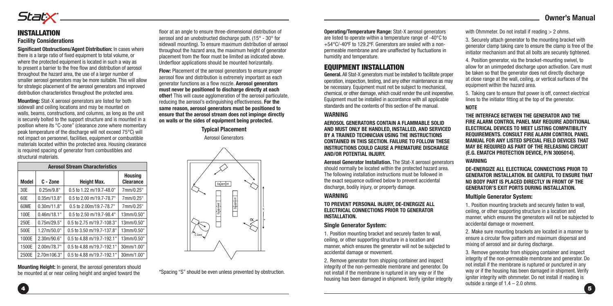## StatX

## INSTALLATION **Facility Considerations**

**Significant Obstructions/Agent Distribution:** In cases where there is a large ratio of fixed equipment to total volume, or where the protected equipment is located in such a way as to present a barrier to the free flow and distribution of aerosol throughout the hazard area, the use of a larger number of smaller aerosol generators may be more suitable. This will allow for strategic placement of the aerosol generators and improved distribution characteristics throughout the protected area.

**Mounting:** Stat-X aerosol generators are listed for both sidewall and ceiling locations and may be mounted on walls, beams, constructions, and columns, as long as the unit is securely bolted to the support structure and is mounted in a position where its "C-zone" (clearance zone where momentary peak temperature of the discharge will not exceed 75°C) will not impact on personnel, facilities, equipment or combustible materials located within the protected area. Housing clearance is required spacing of generator from combustibles and structural materials.

| <b>Aerosol Stream Characteristics</b> |             |                            |                                    |  |  |  |  |  |  |
|---------------------------------------|-------------|----------------------------|------------------------------------|--|--|--|--|--|--|
| Model                                 | C - Zone    | <b>Height Max.</b>         | <b>Housing</b><br><b>Clearance</b> |  |  |  |  |  |  |
| 30E                                   | 0.25m/9.8"  | 0.5 to 1.22 m/19.7-48.0"   | 7mm/0.25"                          |  |  |  |  |  |  |
| 60E                                   | 0.35m/13.8" | $0.5$ to 2.00 m/19.7-78.7" | 7mm/0.25"                          |  |  |  |  |  |  |
| 60ME                                  | 0.30m/11.8" | 0.5 to 2.00m/19.7-78.7"    | 7mm/0.25"                          |  |  |  |  |  |  |
| 100E                                  | 0.46m/18.1" | 0.5 to 2.50 m/19.7-98.4"   | 13mm/0.50"                         |  |  |  |  |  |  |
| 250E                                  | 0.75m/29.5" | 0.5 to 2.75 m/19.7-108.3"  | 13mm/0.50"                         |  |  |  |  |  |  |
| 500E                                  | 1.27m/50.0" | 0.5 to 3.50 m/19.7-137.8"  | 13mm/0.50"                         |  |  |  |  |  |  |
| 1000E                                 | 2.30m/90.6" | 0.5 to 4.88 m/19.7-192.1"  | 13mm/0.50"                         |  |  |  |  |  |  |
| 1500E                                 | 2.00m/78.7" | 0.5 to 4.88 m/19.7-192.1"  | 30mm/1.00"                         |  |  |  |  |  |  |
| 2500E                                 | 2.70m106.3" | 0.5 to 4.88 m/19.7-192.1"  | 30mm/1.00"                         |  |  |  |  |  |  |

**Mounting Height:** In general, the aerosol generators should be mounted at or near ceiling height and angled toward the

floor at an angle to ensure three-dimensional distribution of aerosol and an unobstructed discharge path. (15° - 30° for sidewall mounting). To ensure maximum distribution of aerosol throughout the hazard area, the maximum height of generator placement from the floor must be limited as indicated above. Underfloor applications should be mounted horizontally.

**Flow:** Placement of the aerosol generators to ensure proper aerosol flow and distribution is extremely important as each generator functions as a flow nozzle. **Aerosol generators must never be positioned to discharge directly at each other!** This will cause agglomeration of the aerosol particulate, reducing the aerosol's extinguishing effectiveness. **For the same reason, aerosol generators must be positioned to ensure that the aerosol stream does not impinge directly on walls or the sides of equipment being protected.**

> **Typical Placement** Aerosol Generators



\*Spacing "S" should be even unless prevented by obstruction.

**Operating/Temperature Range:** Stat-X aerosol generators are listed to operate within a temperature range of -40°C to +54°C/-40ºF to 129.2ºF. Generators are sealed with a nonpermeable membrane and are unaffected by fluctuations in humidity and temperature.

## EQUIPMENT INSTALLATION

**General.** All Stat-X generators must be installed to facilitate proper operation, inspection, testing, and any other maintenance as may be necessary. Equipment must not be subject to mechanical, chemical, or other damage, which could render the unit inoperative. Equipment must be installed in accordance with all applicable standards and the contents of this section of the manual.

#### **WARNING**

**AEROSOL GENERATORS CONTAIN A FLAMMABLE SOLID AND MUST ONLY BE HANDLED, INSTALLED, AND SERVICED BY A TRAINED TECHNICIAN USING THE INSTRUCTIONS CONTAINED IN THIS SECTION. FAILURE TO FOLLOW THESE INSTRUCTIONS COULD CAUSE A PREMATURE DISCHARGE AND/OR POTENTIAL INJURY.** 

**Aerosol Generator Installation.** The Stat-X aerosol generators should normally be located within the protected hazard area. The following installation instructions must be followed in the exact sequence outlined below to prevent accidental discharge, bodily injury, or property damage.

### **WARNING**

**TO PREVENT PERSONAL INJURY, DE-ENERGIZE ALL ELECTRICAL CONNECTIONS PRIOR TO GENERATOR INSTALLATION.**

#### **Single Generator System:**

1. Position mounting bracket and securely fasten to wall, ceiling, or other supporting structure in a location and manner, which ensures the generator will not be subjected to accidental damage or movement.

2. Remove generator from shipping container and inspect integrity of the non-permeable membrane and generator. Do not install if the membrane is ruptured in any way or if the housing has been damaged in shipment. Verify igniter integrity with Ohmmeter. Do not install if reading  $> 2$  ohms.

3. Securely attach generator to the mounting bracket with generator clamp taking care to ensure the clamp is free of the initiator mechanism and that all bolts are securely tightened.

4. Position generator, via the bracket-mounting swivel, to allow for an unimpeded discharge upon activation. Care must be taken so that the generator does not directly discharge at close range at the wall, ceiling, or vertical surfaces of the equipment within the hazard area.

5. Taking care to ensure that power is off, connect electrical lines to the initiator fitting at the top of the generator.

#### **NOTE**

**THE INTERFACE BETWEEN THE GENERATOR AND THE FIRE ALARM CONTROL PANEL MAY REQUIRE ADDITIONAL ELECTRICAL DEVICES TO MEET LISTING COMPATIBILITY REQUIREMENTS. CONSULT FIRE ALARM CONTROL PANEL MANUAL FOR ANY LISTED SPECIAL FIELD DEVICES THAT MAY BE REQUIRED AS PART OF THE RELEASING CIRCUIT (E.G. EMATCH PROTECTION DEVICE, P/N 3005014).**

#### **WARNING**

**DE-ENERGIZE ALL ELECTRICAL CONNECTIONS PRIOR TO GENERATOR INSTALLATION. BE CAREFUL TO ENSURE THAT NO BODY PART IS PLACED DIRECTLY IN FRONT OF THE GENERATOR'S EXIT PORTS DURING INSTALLATION.**

#### **Multiple Generator System:**

1. Position mounting brackets and securely fasten to wall, ceiling, or other supporting structure in a location and manner, which ensures the generators will not be subjected to accidental damage or movement.

2. Make sure mounting brackets are located in a manner to ensure a circular flow pattern and maximum dispersal and mixing of aerosol and air during discharge.

 $\overline{4}$  5 3. Remove generator from shipping container and inspect integrity of the non-permeable membrane and generator. Do not install if the membrane is ruptured or punctured in any way or if the housing has been damaged in shipment. Verify igniter integrity with ohmmeter. Do not install if reading is outside a range of  $1.4 - 2.0$  ohms.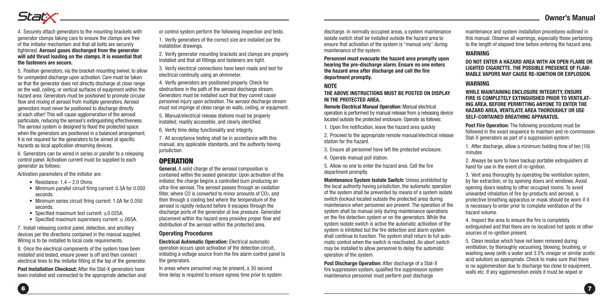

4. Securely attach generators to the mounting brackets with generator clamps taking care to ensure the clamps are free of the initiator mechanism and that all bolts are securely tightened. **Aerosol gases discharged from the generator will add thrust loading on the clamps. It is essential that the fasteners are secure.**

5. Position generators, via the bracket-mounting swivel, to allow for unimpeded discharge upon activation. Care must be taken so that the generator does not directly discharge at close range on the wall, ceiling, or vertical surfaces of equipment within the hazard area. Generators must be positioned to promote circular flow and mixing of aerosol from multiple generators. Aerosol generators must never be positioned to discharge directly at each other! This will cause agglomeration of the aerosol particulate, reducing the aerosol's extinguishing effectiveness. The aerosol system is designed to flood the protected space when the generators are positioned in a balanced arrangement. It is not required for the generators to be aimed at specific hazards as local application streaming devices.

6. Generators can be wired in series or parallel to a releasing control panel. Activation current must be supplied to each generator as follows:

Activation parameters of the initiator are:

- Resistance:  $1.4 2.0$  Ohms
- Minimum parallel circuit firing current: 0.5A for 0.050 seconds.
- Minimum series circuit firing current: 1.0A for 0.050 seconds.
- Specified maximum test current: ≤0.025A.
- Specified maximum supervisory current: ≤.005A.

7. Install releasing control panel, detection, and ancillary devices per the directions contained in the manual supplied. Wiring is to be installed to local code requirements.

8. Once the electrical components of the system have been installed and tested, ensure power is off and then connect electrical lines to the initiator fitting at the top of the generator.

**Post Installation Checkout:** After the Stat-X generators have been installed and connected to the appropriate detection and/ or control system perform the following inspection and tests. 1. Verify generators of the correct size are installed per the installation drawings.

2. Verify generator mounting brackets and clamps are properly installed and that all fittings and fasteners are tight.

3. Verify electrical connections have been made and test for electrical continuity using an ohmmeter.

4. Verify generators are positioned properly. Check for obstructions in the path of the aerosol discharge stream. Generators must be installed such that they cannot cause personnel injury upon activation. The aerosol discharge stream must not impinge at close range on walls, ceiling, or equipment.

5. Manual/electrical release stations must be properly installed, readily accessible, and clearly identified.

6. Verify time delay functionality and integrity.

7. All acceptance testing shall be in accordance with this manual, any applicable standards, and the authority having jurisdiction.

## **OPERATION**

**General.** A solid charge of the aerosol composition is contained within the sealed generator. Upon activation of the initiator, the charge begins a controlled burn producing an ultra-fine aerosol. The aerosol passes through an oxidation filter, where CO is converted to minor amounts of CO2, and then through a cooling bed where the temperature of the aerosol is rapidly reduced before it escapes through the discharge ports of the generator at low pressure. Generator placement within the hazard area provides proper flow and distribution of the aerosol within the protected area.

#### **Operating Procedures**

**Electrical Automatic Operation:** Electrical automatic operation occurs upon activation of the detection circuit, initiating a voltage source from the fire alarm control panel to the generators.

In areas where personnel may be present, a 30 second time delay is required to ensure egress time prior to system

discharge. In normally occupied areas, a system maintenance isolate switch shall be installed outside the hazard area to ensure that activation of the system is "manual only" during maintenance of the system.

**Personnel must evacuate the hazard area promptly upon hearing the pre-discharge alarm. Ensure no one enters the hazard area after discharge and call the fire department promptly.** 

#### **NOTE**

**THE ABOVE INSTRUCTIONS MUST BE POSTED ON DISPLAY IN THE PROTECTED AREA.** 

**Remote Electrical Manual Operation:** Manual electrical operation is performed by manual release from a releasing device located outside the protected enclosure. Operate as follows:

1. Upon fire notification, leave the hazard area quickly

2. Proceed to the appropriate remote manual/electrical release station for the hazard.

3. Ensure all personnel have left the protected enclosure.

4. Operate manual pull station.

5. Allow no one to enter the hazard area. Call the fire department promptly.

**Maintenance System Isolate Switch:** Unless prohibited by the local authority having jurisdiction, the automatic operation of the system shall be prevented by means of a system isolate switch (lockout located outside the protected area) during maintenance when personnel are present. The operation of the system shall be manual only during maintenance operations on the fire detection system or on the generators. While the system isolate switch is active the automatic activation of the system is inhibited but the fire detection and alarm system shall continue to function. The system shall return to full automatic control when the switch is reactivated. An abort switch may be installed to allow personnel to delay the automatic operation of the system.

**Post Discharge Operation: After discharge of a Stat-X** fire suppression system, qualified fire suppression system maintenance personnel must perform post discharge

maintenance and system installation procedures outlined in this manual. Observe all warnings, especially those pertaining to the length of elapsed time before entering the hazard area.

#### **WARNING**

**DO NOT ENTER A HAZARD AREA WITH AN OPEN FLAME OR LIGHTED CIGARETTE. THE POSSIBLE PRESENCE OF FLAM-MABLE VAPORS MAY CAUSE RE-IGNITION OR EXPLOSION.** 

#### **WARNING**

**WHILE MAINTAINING ENCLOSURE INTEGRITY, ENSURE FIRE IS COMPLETELY EXTINGUISHED PRIOR TO VENTILAT-ING AREA. BEFORE PERMITTING ANYONE TO ENTER THE HAZARD AREA, VENTILATE AREA THOROUGHLY OR USE SELF-CONTAINED BREATHING APPARATUS.**

**Post Fire Operation:** The following procedures must be followed in the exact sequence to maintain and re-commission Stat-X generators as part of a suppression system:

1. After discharge, allow a minimum holding time of ten (10) minutes

2. Always be sure to have backup portable extinguishers at hand for use in the event of re-ignition.

3. Vent area thoroughly by operating the ventilation system, by fan extraction, or by opening doors and windows. Avoid opening doors leading to other occupied rooms. To avoid unwanted inhalation of fire by-products and aerosol, a protective breathing apparatus or mask should be worn if it is necessary to enter prior to complete ventilation of the hazard volume.

4. Inspect the area to ensure the fire is completely extinguished and that there are no localized hot spots or other sources of re-ignition present.

5. Clean residue which have not been removed during ventilation, by thoroughly vacuuming, blowing, brushing, or washing away (with a water and 3.5% vinegar or similar acetic acid solution) as appropriate. Check to make sure that there is no agglomeration due to discharge too close to equipment. walls etc. If any agglomeration exists it must be wiped or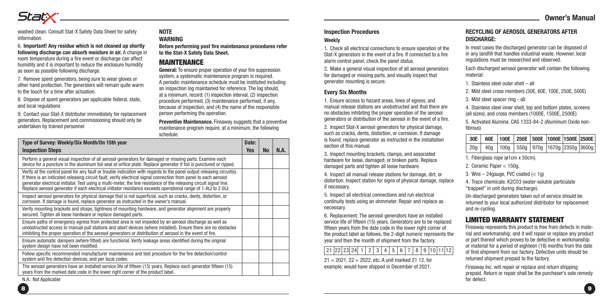washed clean. Consult Stat-X Safety Data Sheet for safety information.

6. **Important! Any residue which is not cleaned up shortly following discharge can absorb moisture in air.** A change in room temperature during a fire event or discharge can affect humidity and it is important to reduce the enclosure humidity as soon as possible following discharge.

7. Remove spent generators, being sure to wear gloves or other hand protection. The generators will remain quite warm to the touch for a time after actuation.

8. Dispose of spent generators per applicable federal, state, and local regulations

9. Contact your Stat-X distributor immediately for replacement generators. Replacement and commissioning should only be undertaken by trained personnel

#### **NOTE WARNING**

**Before performing post fire maintenance procedures refer to the Stat-X Safety Data Sheet.**

## MAINTENANCE

**General:** To ensure proper operation of your fire suppression system, a systematic maintenance program is required. A periodic maintenance schedule must be instituted including an inspection log maintained for reference. The log should, at a minimum, record: (1) inspection interval, (2) inspection procedure performed, (3) maintenance performed, if any, because of inspection, and (4) the name of the responsible person performing the operation.

**Preventive Maintenance.** Fireaway suggests that a preventive maintenance program require, at a minimum, the following schedule:

| Type of Survey: Weekly/Six Month/On 15th year                                                                                                                                                                                                                                                                                                                                                                                                                                                     |            |           |      |
|---------------------------------------------------------------------------------------------------------------------------------------------------------------------------------------------------------------------------------------------------------------------------------------------------------------------------------------------------------------------------------------------------------------------------------------------------------------------------------------------------|------------|-----------|------|
| <b>Inspection Steps</b>                                                                                                                                                                                                                                                                                                                                                                                                                                                                           | <b>Yes</b> | <b>No</b> | N.A. |
| Perform a general visual inspection of all aerosol generators for damaged or missing parts. Examine each<br>device for a puncture in the aluminum foil seal at orifice plate. Replace generator if foil is punctured or ripped.                                                                                                                                                                                                                                                                   |            |           |      |
| Verify at the control panel for any fault or trouble indication with regards to the panel output releasing circuit(s).<br>If there is an indicated releasing circuit fault, verify electrical signal connection from panel to each aerosol<br>generator electrical initiator. Test using a multi-meter, the line resistance of the releasing circuit signal line.<br>Replace aerosol generator if each electrical initiator resistance exceeds operational range of $1.4\Omega$ to 2.0 $\Omega$ . |            |           |      |
| Inspect aerosol generators for physical damage that is not superficial, such as cracks, dents, distortion, or<br>corrosion. If damage is found, replace generator as instructed in the owner's manual.                                                                                                                                                                                                                                                                                            |            |           |      |
| Verify mounting brackets and straps, tightness of mounting hardware, and generator alignment are properly<br>secured. Tighten all loose hardware or replace damaged parts.                                                                                                                                                                                                                                                                                                                        |            |           |      |
| Ensure paths of emergency egress from protected area is not impeded by an aerosol discharge as well as<br>unobstructed access to manual pull stations and abort devices (where installed). Ensure there are no obstacles<br>inhibiting the proper operation of the aerosol generators or distribution of aerosol in the event of fire.                                                                                                                                                            |            |           |      |
| Ensure automatic dampers (where fitted) are functional. Verify leakage areas identified during the original<br>system design have not been modified.                                                                                                                                                                                                                                                                                                                                              |            |           |      |
| Follow specific recommended manufacturer maintenance and test procedure for the fire detection/control<br>system and fire detection devices, and per local codes.                                                                                                                                                                                                                                                                                                                                 |            |           |      |
| The aerosol generators have an installed service life of fifteen (15) years. Replace each generator fifteen (15)<br>years from the marked date code in the lower right corner of the product label.                                                                                                                                                                                                                                                                                               |            |           |      |

N.A.: Not Applicable

## **Inspection Procedures**

1. Check all electrical connections to ensure operation of the Stat-X generators in the event of a fire. If connected to a fire alarm control panel, check the panel status.

2. Make a general visual inspection of all aerosol generators for damaged or missing parts, and visually inspect that generator mounting is secure.

#### **Every Six Months**

**Weekly**

1. Ensure access to hazard areas, lines of egress, and manual release stations are unobstructed and that there are no obstacles inhibiting the proper operation of the aerosol generators or distribution of the aerosol in the event of a fire.

2. Inspect Stat-X aerosol generators for physical damage, such as cracks, dents, distortion, or corrosion. If damage is found, replace generator as instructed in the installation section of this manual.

3. Inspect mounting brackets, clamps, and associated hardware for loose, damaged, or broken parts. Replace damaged parts and tighten all loose hardware.

4. Inspect all manual release stations for damage, dirt, or distortion. Inspect station for signs of physical damage, replace if necessary.

5. Inspect all electrical connections and run electrical continuity tests using an ohmmeter. Repair and replace as necessary.

6. Replacement: The aerosol generators have an installed service life of fifteen (15) years. Generators are to be replaced fifteen years from the date code in the lower right corner of the product label as follows, the 2-digit numeric represents the year and then the month of shipment from the factory:

## $\left[ 21 \right] 22 \left[ 23 \right] 24 \left[ 1 \right] 2 \left[ 3 \right] 4 \left[ 5 \right] 6 \left[ 7 \right] 8 \left[ 9 \right] 10 \left[ 11 \right] 12$

 $21 = 2021$ ,  $22 = 2022$ , etc. A unit marked 21 12, for example, would have shipped in December of 2021.

#### **RECYCLING OF AEROSOL GENERATORS AFTER DISCHARGE:**

In most cases the discharged generator can be disposed of in any landfill that handles industrial waste. However, local regulations must be researched and observed.

Each discharged aerosol generator will contain the following material:

- 1. Stainless steel outer shell all
- 2. Mild steel cross members (30E, 60E, 100E, 250E, 500E)
- 3. Mild steel spacer ring all

4. Stainless steel inner shell, top and bottom plates, screens (all sizes), and cross members (1000E, 1500E, 2500E)

5. Activated Alumina: CAS 1333-84-2 (Aluminum Oxide nonfibrous)

|  | 30E   60E   100E   250E   500E   1000E   1500E   2500E                 |  |  |  |
|--|------------------------------------------------------------------------|--|--|--|
|  | $20g$   $40g$   $100g$   $550g$   $970g$   $1670g$   $2350g$   $3600g$ |  |  |  |

1. Fiberglass rope (ø1cm x 50cm).

2. Ceramic Paper < 150g.

3. Wire  $-$  24gauge, PVC coated  $(< 1q$ )

4. Trace chemicals: K2CO3 (water-soluble particulate "trapped" in unit during discharge).

Un-discharged generators taken out of service should be returned to your local authorized distributor for replacement and re-cycling.

## LIMITED WARRANTY STATEMENT

Fireaway represents this product is free from defects in material and workmanship, and it will repair or replace any product or part thereof which proves to be defective in workmanship or material for a period of eighteen (18) months from the date of first shipment from our factory. Defective units should be returned shipment prepaid to the factory.

Fireaway Inc. will repair or replace and return shipping prepaid. Return or repair shall be the purchaser's sole remedy for defect.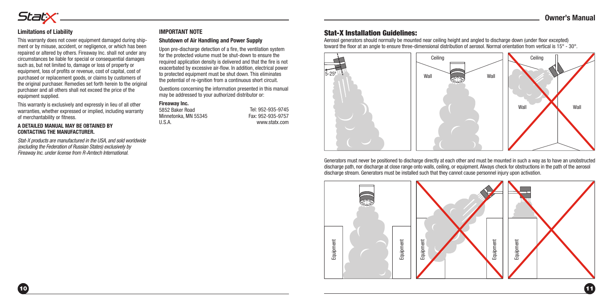#### **Limitations of Liability**

Statx®

This warranty does not cover equipment damaged during shipment or by misuse, accident, or negligence, or which has been repaired or altered by others. Fireaway Inc. shall not under any circumstances be liable for special or consequential damages such as, but not limited to, damage or loss of property or equipment, loss of profits or revenue, cost of capital, cost of purchased or replacement goods, or claims by customers of the original purchaser. Remedies set forth herein to the original purchaser and all others shall not exceed the price of the equipment supplied.

This warranty is exclusively and expressly in lieu of all other warranties, whether expressed or implied, including warranty of merchantability or fitness.

#### **A DETAILED MANUAL MAY BE OBTAINED BY CONTACTING THE MANUFACTURER.**

*Stat-X products are manufactured in the USA, and sold worldwide (excluding the Federation of Russian States) exclusively by Fireaway Inc. under license from R-Amtech International.*

#### **IMPORTANT NOTE**

**Shutdown of Air Handling and Power Supply**

Upon pre-discharge detection of a fire, the ventilation system for the protected volume must be shut-down to ensure the required application density is delivered and that the fire is not exacerbated by excessive air-flow. In addition, electrical power to protected equipment must be shut down. This eliminates the potential of re-ignition from a continuous short circuit.

Questions concerning the information presented in this manual may be addressed to your authorized distributor or:

#### **Fireaway Inc.**

5852 Baker Road Minnetonka, MN 55345 U.S.A.

Fax: 952-935-9757 www.statx.com

## Stat-X Installation Guidelines:

Aerosol generators should normally be mounted near ceiling height and angled to discharge down (under floor excepted) toward the floor at an angle to ensure three-dimensional distribution of aerosol. Normal orientation from vertical is 15° - 30°.



Generators must never be positioned to discharge directly at each other and must be mounted in such a way as to have an unobstructed discharge path, nor discharge at close range onto walls, ceiling, or equipment. Always check for obstructions in the path of the aerosol<br>discharge stream. Generators must be installed such that they cannot cause personnel